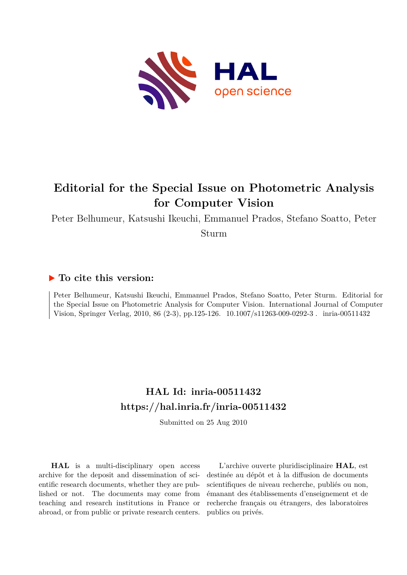

## **Editorial for the Special Issue on Photometric Analysis for Computer Vision**

Peter Belhumeur, Katsushi Ikeuchi, Emmanuel Prados, Stefano Soatto, Peter

Sturm

## **To cite this version:**

Peter Belhumeur, Katsushi Ikeuchi, Emmanuel Prados, Stefano Soatto, Peter Sturm. Editorial for the Special Issue on Photometric Analysis for Computer Vision. International Journal of Computer Vision, Springer Verlag, 2010, 86 (2-3), pp.125-126.  $10.1007 \text{/} \text{s}11263\text{-}009\text{-}0292\text{-}3$ . inria-00511432

## **HAL Id: inria-00511432 <https://hal.inria.fr/inria-00511432>**

Submitted on 25 Aug 2010

**HAL** is a multi-disciplinary open access archive for the deposit and dissemination of scientific research documents, whether they are published or not. The documents may come from teaching and research institutions in France or abroad, or from public or private research centers.

L'archive ouverte pluridisciplinaire **HAL**, est destinée au dépôt et à la diffusion de documents scientifiques de niveau recherche, publiés ou non, émanant des établissements d'enseignement et de recherche français ou étrangers, des laboratoires publics ou privés.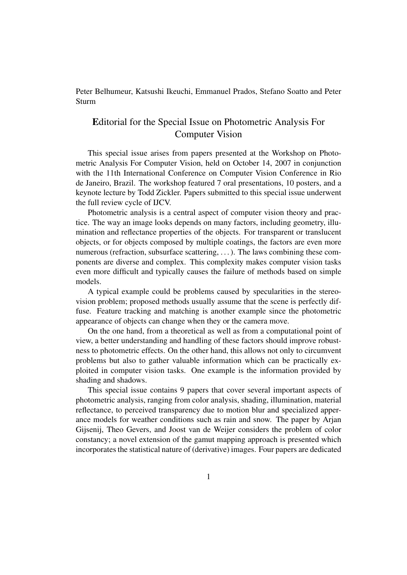Peter Belhumeur, Katsushi Ikeuchi, Emmanuel Prados, Stefano Soatto and Peter Sturm

## Editorial for the Special Issue on Photometric Analysis For Computer Vision

This special issue arises from papers presented at the Workshop on Photometric Analysis For Computer Vision, held on October 14, 2007 in conjunction with the 11th International Conference on Computer Vision Conference in Rio de Janeiro, Brazil. The workshop featured 7 oral presentations, 10 posters, and a keynote lecture by Todd Zickler. Papers submitted to this special issue underwent the full review cycle of IJCV.

Photometric analysis is a central aspect of computer vision theory and practice. The way an image looks depends on many factors, including geometry, illumination and reflectance properties of the objects. For transparent or translucent objects, or for objects composed by multiple coatings, the factors are even more numerous (refraction, subsurface scattering, ...). The laws combining these components are diverse and complex. This complexity makes computer vision tasks even more difficult and typically causes the failure of methods based on simple models.

A typical example could be problems caused by specularities in the stereovision problem; proposed methods usually assume that the scene is perfectly diffuse. Feature tracking and matching is another example since the photometric appearance of objects can change when they or the camera move.

On the one hand, from a theoretical as well as from a computational point of view, a better understanding and handling of these factors should improve robustness to photometric effects. On the other hand, this allows not only to circumvent problems but also to gather valuable information which can be practically exploited in computer vision tasks. One example is the information provided by shading and shadows.

This special issue contains 9 papers that cover several important aspects of photometric analysis, ranging from color analysis, shading, illumination, material reflectance, to perceived transparency due to motion blur and specialized apperance models for weather conditions such as rain and snow. The paper by Arjan Gijsenij, Theo Gevers, and Joost van de Weijer considers the problem of color constancy; a novel extension of the gamut mapping approach is presented which incorporates the statistical nature of (derivative) images. Four papers are dedicated